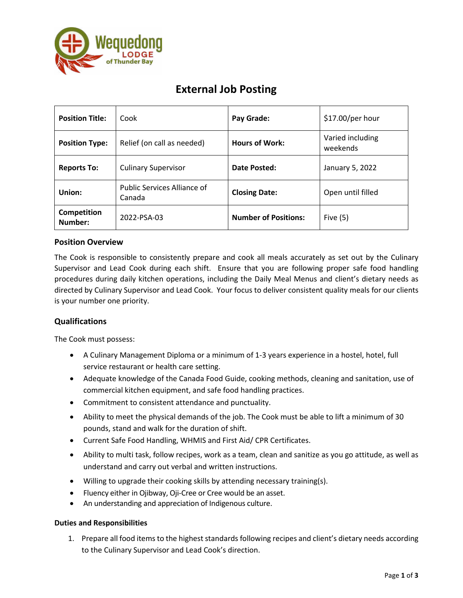

# **External Job Posting**

| <b>Position Title:</b> | Cook                                         | Pay Grade:                  | \$17.00/per hour             |
|------------------------|----------------------------------------------|-----------------------------|------------------------------|
| <b>Position Type:</b>  | Relief (on call as needed)                   | <b>Hours of Work:</b>       | Varied including<br>weekends |
| <b>Reports To:</b>     | <b>Culinary Supervisor</b>                   | Date Posted:                | January 5, 2022              |
| Union:                 | <b>Public Services Alliance of</b><br>Canada | <b>Closing Date:</b>        | Open until filled            |
| Competition<br>Number: | 2022-PSA-03                                  | <b>Number of Positions:</b> | Five $(5)$                   |

## **Position Overview**

The Cook is responsible to consistently prepare and cook all meals accurately as set out by the Culinary Supervisor and Lead Cook during each shift. Ensure that you are following proper safe food handling procedures during daily kitchen operations, including the Daily Meal Menus and client's dietary needs as directed by Culinary Supervisor and Lead Cook. Your focus to deliver consistent quality meals for our clients is your number one priority.

## **Qualifications**

The Cook must possess:

- A Culinary Management Diploma or a minimum of 1-3 years experience in a hostel, hotel, full service restaurant or health care setting.
- Adequate knowledge of the Canada Food Guide, cooking methods, cleaning and sanitation, use of commercial kitchen equipment, and safe food handling practices.
- Commitment to consistent attendance and punctuality.
- Ability to meet the physical demands of the job. The Cook must be able to lift a minimum of 30 pounds, stand and walk for the duration of shift.
- Current Safe Food Handling, WHMIS and First Aid/ CPR Certificates.
- Ability to multi task, follow recipes, work as a team, clean and sanitize as you go attitude, as well as understand and carry out verbal and written instructions.
- Willing to upgrade their cooking skills by attending necessary training(s).
- Fluency either in Ojibway, Oji-Cree or Cree would be an asset.
- An understanding and appreciation of Indigenous culture.

### **Duties and Responsibilities**

1. Prepare all food items to the highest standards following recipes and client's dietary needs according to the Culinary Supervisor and Lead Cook's direction.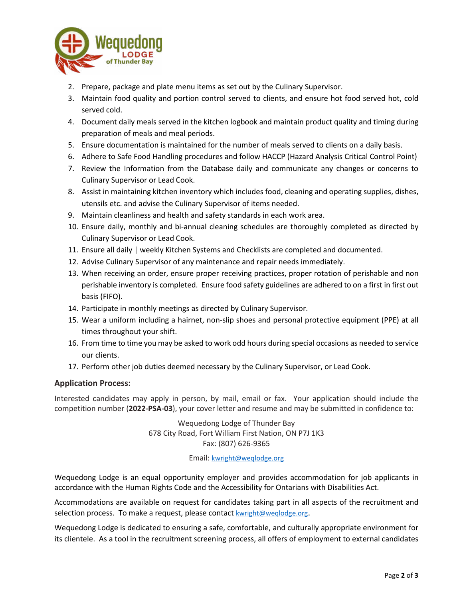

- 2. Prepare, package and plate menu items as set out by the Culinary Supervisor.
- 3. Maintain food quality and portion control served to clients, and ensure hot food served hot, cold served cold.
- 4. Document daily meals served in the kitchen logbook and maintain product quality and timing during preparation of meals and meal periods.
- 5. Ensure documentation is maintained for the number of meals served to clients on a daily basis.
- 6. Adhere to Safe Food Handling procedures and follow HACCP (Hazard Analysis Critical Control Point)
- 7. Review the Information from the Database daily and communicate any changes or concerns to Culinary Supervisor or Lead Cook.
- 8. Assist in maintaining kitchen inventory which includes food, cleaning and operating supplies, dishes, utensils etc. and advise the Culinary Supervisor of items needed.
- 9. Maintain cleanliness and health and safety standards in each work area.
- 10. Ensure daily, monthly and bi-annual cleaning schedules are thoroughly completed as directed by Culinary Supervisor or Lead Cook.
- 11. Ensure all daily | weekly Kitchen Systems and Checklists are completed and documented.
- 12. Advise Culinary Supervisor of any maintenance and repair needs immediately.
- 13. When receiving an order, ensure proper receiving practices, proper rotation of perishable and non perishable inventory is completed. Ensure food safety guidelines are adhered to on a first in first out basis (FIFO).
- 14. Participate in monthly meetings as directed by Culinary Supervisor.
- 15. Wear a uniform including a hairnet, non-slip shoes and personal protective equipment (PPE) at all times throughout your shift.
- 16. From time to time you may be asked to work odd hours during special occasions as needed to service our clients.
- 17. Perform other job duties deemed necessary by the Culinary Supervisor, or Lead Cook.

### **Application Process:**

Interested candidates may apply in person, by mail, email or fax. Your application should include the competition number (**2022-PSA-03**), your cover letter and resume and may be submitted in confidence to:

> Wequedong Lodge of Thunder Bay 678 City Road, Fort William First Nation, ON P7J 1K3 Fax: (807) 626-9365

#### Email: [kwright@weqlodge.org](mailto:kwright@weqlodge.org)

Wequedong Lodge is an equal opportunity employer and provides accommodation for job applicants in accordance with the Human Rights Code and the Accessibility for Ontarians with Disabilities Act.

Accommodations are available on request for candidates taking part in all aspects of the recruitment and selection process. To make a request, please contact [kwright@weqlodge.org](mailto:kkaing@weqlodge.org).

Wequedong Lodge is dedicated to ensuring a safe, comfortable, and culturally appropriate environment for its clientele. As a tool in the recruitment screening process, all offers of employment to external candidates